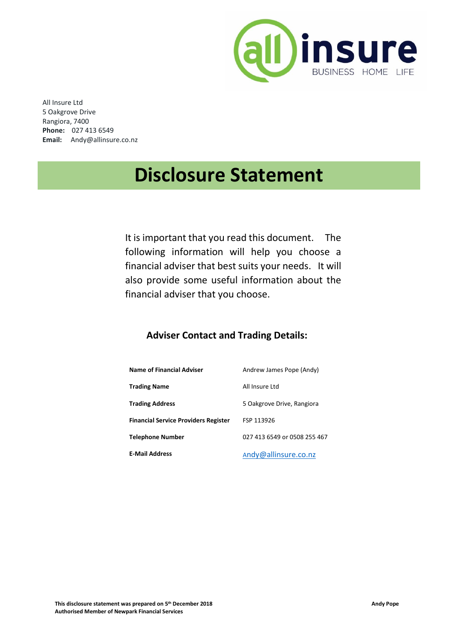

All Insure Ltd 5 Oakgrove Drive Rangiora, 7400 **Phone:** 027 413 6549 **Email:** Andy@allinsure.co.nz

# **Disclosure Statement**

It is important that you read this document. The following information will help you choose a financial adviser that best suits your needs. It will also provide some useful information about the financial adviser that you choose.

## **Adviser Contact and Trading Details:**

| <b>Name of Financial Adviser</b>            | Andrew James Pope (Andy)     |
|---------------------------------------------|------------------------------|
| <b>Trading Name</b>                         | All Insure Ltd               |
| <b>Trading Address</b>                      | 5 Oakgrove Drive, Rangiora   |
| <b>Financial Service Providers Register</b> | FSP 113926                   |
| <b>Telephone Number</b>                     | 027 413 6549 or 0508 255 467 |
| <b>E-Mail Address</b>                       | Andy@allinsure.co.nz         |